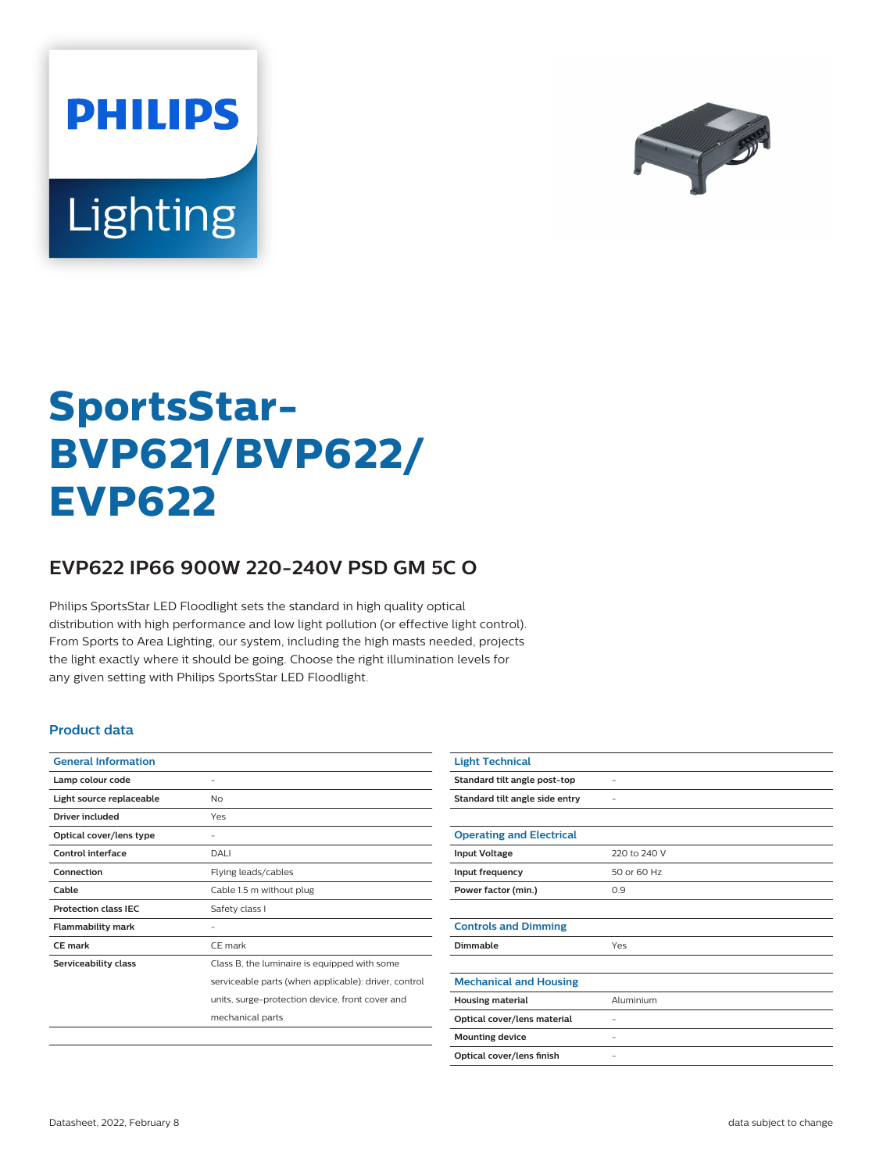

# Lighting

**PHILIPS** 

# **SportsStar-BVP621/BVP622/ EVP622**

### **EVP622 IP66 900W 220-240V PSD GM 5C O**

Philips SportsStar LED Floodlight sets the standard in high quality optical distribution with high performance and low light pollution (or effective light control). From Sports to Area Lighting, our system, including the high masts needed, projects the light exactly where it should be going. Choose the right illumination levels for any given setting with Philips SportsStar LED Floodlight.

#### **Product data**

| <b>General Information</b>  |                                                      |
|-----------------------------|------------------------------------------------------|
| Lamp colour code            |                                                      |
| Light source replaceable    | No                                                   |
| Driver included             | Yes                                                  |
| Optical cover/lens type     |                                                      |
| Control interface           | DALI                                                 |
| Connection                  | Flying leads/cables                                  |
| Cable                       | Cable 1.5 m without plug                             |
| <b>Protection class IEC</b> | Safety class I                                       |
| <b>Flammability mark</b>    |                                                      |
| CE mark                     | CE mark                                              |
| Serviceability class        | Class B, the luminaire is equipped with some         |
|                             | serviceable parts (when applicable): driver, control |
|                             | units, surge-protection device, front cover and      |
|                             | mechanical parts                                     |
|                             |                                                      |

| <b>Light Technical</b>          |              |
|---------------------------------|--------------|
| Standard tilt angle post-top    |              |
| Standard tilt angle side entry  |              |
|                                 |              |
| <b>Operating and Electrical</b> |              |
| <b>Input Voltage</b>            | 220 to 240 V |
| Input frequency                 | 50 or 60 Hz  |
| Power factor (min.)             | 0.9          |
|                                 |              |
| <b>Controls and Dimming</b>     |              |
| Dimmable                        | Yes          |
|                                 |              |
| <b>Mechanical and Housing</b>   |              |
| <b>Housing material</b>         | Aluminium    |
| Optical cover/lens material     |              |
| <b>Mounting device</b>          |              |
| Optical cover/lens finish       |              |
|                                 |              |